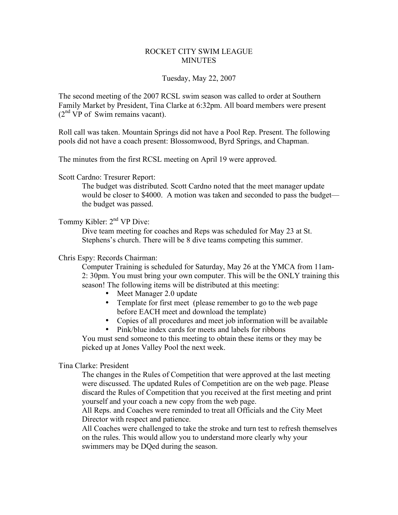## ROCKET CITY SWIM LEAGUE **MINUTES**

#### Tuesday, May 22, 2007

The second meeting of the 2007 RCSL swim season was called to order at Southern Family Market by President, Tina Clarke at 6:32pm. All board members were present  $(2<sup>nd</sup> VP of Swim remains vacant).$ 

Roll call was taken. Mountain Springs did not have a Pool Rep. Present. The following pools did not have a coach present: Blossomwood, Byrd Springs, and Chapman.

The minutes from the first RCSL meeting on April 19 were approved.

Scott Cardno: Tresurer Report:

The budget was distributed. Scott Cardno noted that the meet manager update would be closer to \$4000. A motion was taken and seconded to pass the budget the budget was passed.

## Tommy Kibler: 2<sup>nd</sup> VP Dive:

Dive team meeting for coaches and Reps was scheduled for May 23 at St. Stephens's church. There will be 8 dive teams competing this summer.

## Chris Espy: Records Chairman:

Computer Training is scheduled for Saturday, May 26 at the YMCA from 11am-2: 30pm. You must bring your own computer. This will be the ONLY training this season! The following items will be distributed at this meeting:

- Meet Manager 2.0 update
- Template for first meet (please remember to go to the web page before EACH meet and download the template)
- Copies of all procedures and meet job information will be available
- Pink/blue index cards for meets and labels for ribbons

You must send someone to this meeting to obtain these items or they may be picked up at Jones Valley Pool the next week.

#### Tina Clarke: President

The changes in the Rules of Competition that were approved at the last meeting were discussed. The updated Rules of Competition are on the web page. Please discard the Rules of Competition that you received at the first meeting and print yourself and your coach a new copy from the web page.

All Reps. and Coaches were reminded to treat all Officials and the City Meet Director with respect and patience.

All Coaches were challenged to take the stroke and turn test to refresh themselves on the rules. This would allow you to understand more clearly why your swimmers may be DQed during the season.